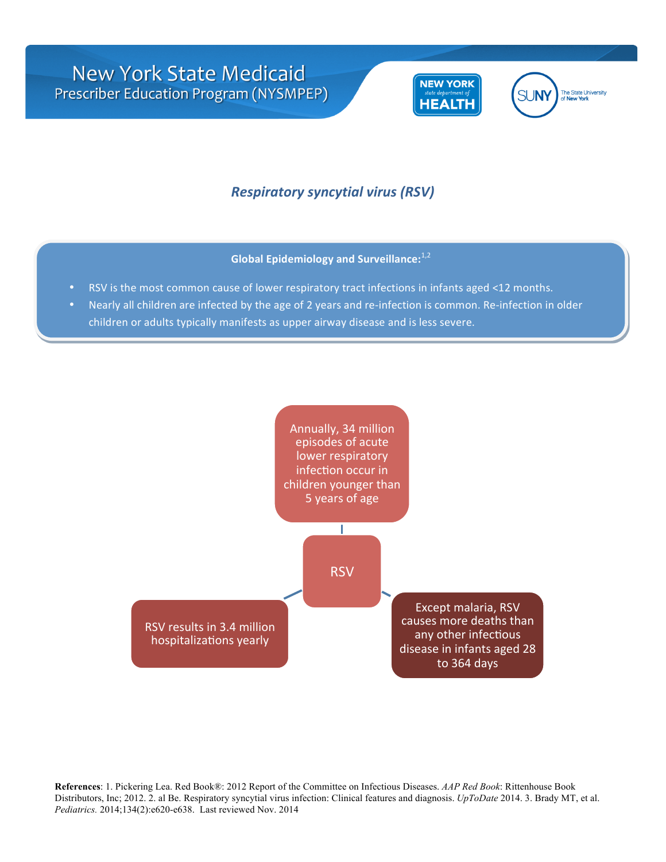

## *Respiratory syncytial virus (RSV)*

**Global Epidemiology and Surveillance:**<sup>1,2</sup>

- RSV is the most common cause of lower respiratory tract infections in infants aged <12 months.
- Nearly all children are infected by the age of 2 years and re-infection is common. Re-infection in older children or adults typically manifests as upper airway disease and is less severe.

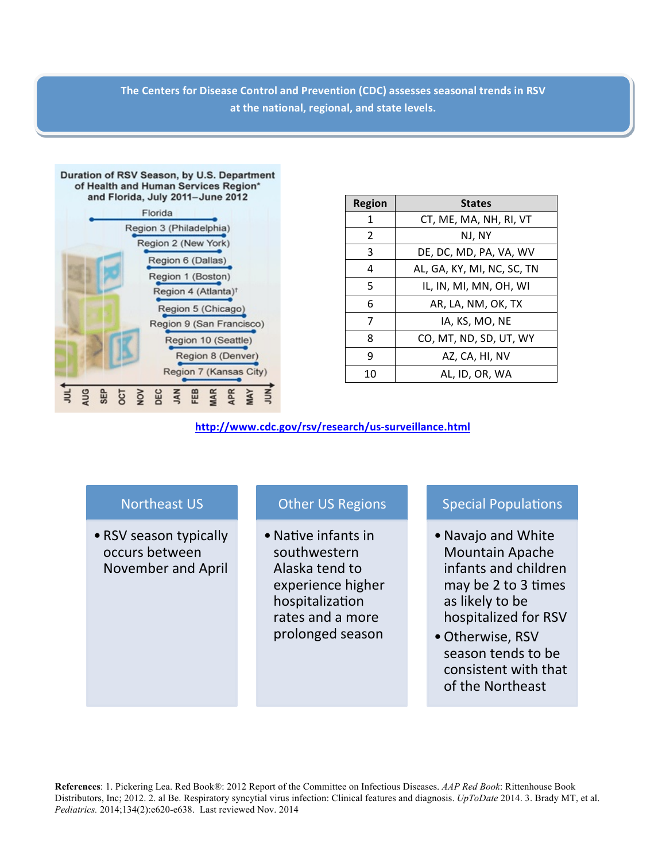The Centers for Disease Control and Prevention (CDC) assesses seasonal trends in RSV at the national, regional, and state levels.



| Region | <b>States</b>              |  |  |
|--------|----------------------------|--|--|
| 1      | CT, ME, MA, NH, RI, VT     |  |  |
| 2      | NJ, NY                     |  |  |
| 3      | DE, DC, MD, PA, VA, WV     |  |  |
| 4      | AL, GA, KY, MI, NC, SC, TN |  |  |
| 5      | IL, IN, MI, MN, OH, WI     |  |  |
| 6      | AR, LA, NM, OK, TX         |  |  |
| 7      | IA, KS, MO, NE             |  |  |
| 8      | CO, MT, ND, SD, UT, WY     |  |  |
| 9      | AZ, CA, HI, NV             |  |  |
| 10     | AL, ID, OR, WA             |  |  |

**http://www.cdc.gov/rsv/research/us-surveillance.html**

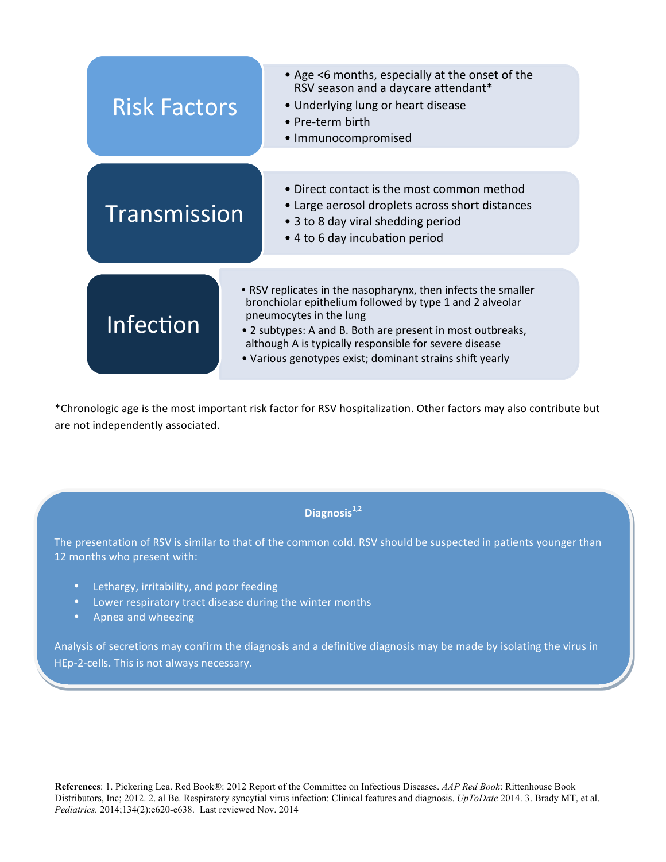

\*Chronologic age is the most important risk factor for RSV hospitalization. Other factors may also contribute but are not independently associated.

**Diagnosis1,2**

The presentation of RSV is similar to that of the common cold. RSV should be suspected in patients younger than 12 months who present with:

- Lethargy, irritability, and poor feeding
- Lower respiratory tract disease during the winter months
- Apnea and wheezing

Analysis of secretions may confirm the diagnosis and a definitive diagnosis may be made by isolating the virus in HEp-2-cells. This is not always necessary.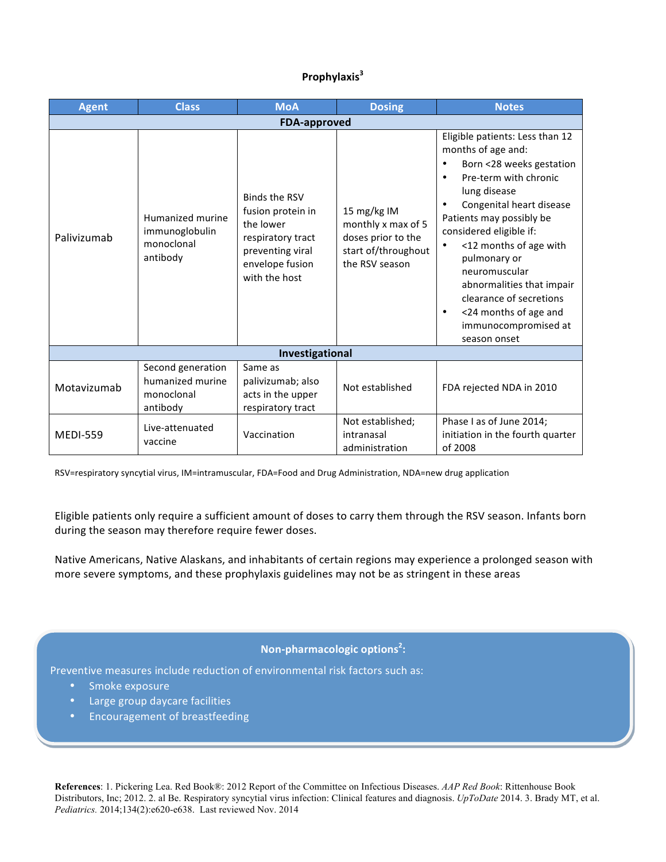## **Prophylaxis<sup>3</sup>**

| <b>Agent</b>        | <b>Class</b>                                                    | <b>MoA</b>                                                                                                                          | <b>Dosing</b>                                                                                    | <b>Notes</b>                                                                                                                                                                                                                                                                                                                                                                                                                                  |  |
|---------------------|-----------------------------------------------------------------|-------------------------------------------------------------------------------------------------------------------------------------|--------------------------------------------------------------------------------------------------|-----------------------------------------------------------------------------------------------------------------------------------------------------------------------------------------------------------------------------------------------------------------------------------------------------------------------------------------------------------------------------------------------------------------------------------------------|--|
| <b>FDA-approved</b> |                                                                 |                                                                                                                                     |                                                                                                  |                                                                                                                                                                                                                                                                                                                                                                                                                                               |  |
| Palivizumab         | Humanized murine<br>immunoglobulin<br>monoclonal<br>antibody    | <b>Binds the RSV</b><br>fusion protein in<br>the lower<br>respiratory tract<br>preventing viral<br>envelope fusion<br>with the host | 15 mg/kg IM<br>monthly x max of 5<br>doses prior to the<br>start of/throughout<br>the RSV season | Eligible patients: Less than 12<br>months of age and:<br>Born <28 weeks gestation<br>٠<br>Pre-term with chronic<br>$\bullet$<br>lung disease<br>Congenital heart disease<br>Patients may possibly be<br>considered eligible if:<br><12 months of age with<br>$\bullet$<br>pulmonary or<br>neuromuscular<br>abnormalities that impair<br>clearance of secretions<br><24 months of age and<br>$\bullet$<br>immunocompromised at<br>season onset |  |
| Investigational     |                                                                 |                                                                                                                                     |                                                                                                  |                                                                                                                                                                                                                                                                                                                                                                                                                                               |  |
| Motavizumab         | Second generation<br>humanized murine<br>monoclonal<br>antibody | Same as<br>palivizumab; also<br>acts in the upper<br>respiratory tract                                                              | Not established                                                                                  | FDA rejected NDA in 2010                                                                                                                                                                                                                                                                                                                                                                                                                      |  |
| <b>MEDI-559</b>     | Live-attenuated<br>vaccine                                      | Vaccination                                                                                                                         | Not established;<br>intranasal<br>administration                                                 | Phase I as of June 2014;<br>initiation in the fourth quarter<br>of 2008                                                                                                                                                                                                                                                                                                                                                                       |  |

RSV=respiratory syncytial virus, IM=intramuscular, FDA=Food and Drug Administration, NDA=new drug application

Eligible patients only require a sufficient amount of doses to carry them through the RSV season. Infants born during the season may therefore require fewer doses.

Native Americans, Native Alaskans, and inhabitants of certain regions may experience a prolonged season with more severe symptoms, and these prophylaxis guidelines may not be as stringent in these areas

## **Non-pharmacologic options<sup>2</sup>:**

Preventive measures include reduction of environmental risk factors such as:

- Smoke exposure
- Large group daycare facilities
- Encouragement of breastfeeding